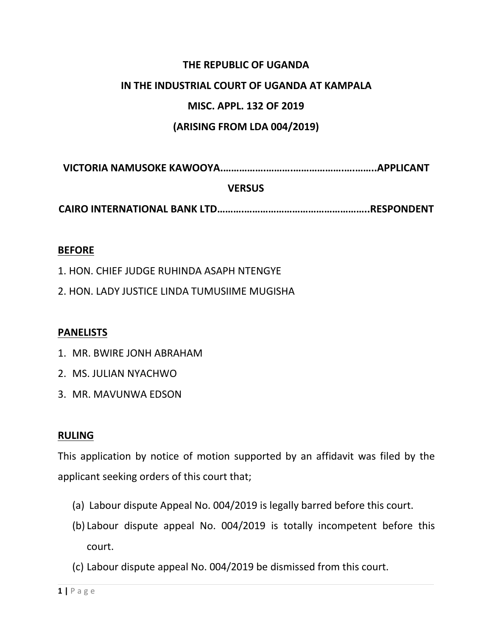## **THE REPUBLIC OF UGANDA**

#### **IN THE INDUSTRIAL COURT OF UGANDA AT KAMPALA**

## **MISC. APPL. 132 OF 2019**

## **(ARISING FROM LDA 004/2019)**

**VICTORIA NAMUSOKE KAWOOYA.…………….……….……………….….……..APPLICANT**

### **VERSUS**

**CAIRO INTERNATIONAL BANK LTD……….………………………………………..RESPONDENT**

#### **BEFORE**

- 1. HON. CHIEF JUDGE RUHINDA ASAPH NTENGYE
- 2. HON. LADY JUSTICE LINDA TUMUSIIME MUGISHA

#### **PANELISTS**

- 1. MR. BWIRE JONH ABRAHAM
- 2. MS. JULIAN NYACHWO
- 3. MR. MAVUNWA EDSON

#### **RULING**

This application by notice of motion supported by an affidavit was filed by the applicant seeking orders of this court that;

- 
- (a) Labour dispute Appeal No. 004/2019 is legally barred before this court.<br>(b) Labour dispute appeal No. 004/2019 is totally incompetent before this court.
- (c) Labour dispute appeal No. 004/2019 be dismissed from this court.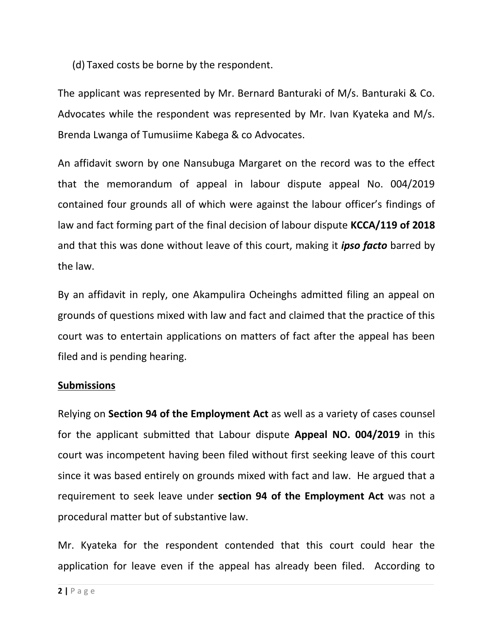(d) Taxed costs be borne by the respondent.

The applicant was represented by Mr. Bernard Banturaki of M/s. Banturaki & Co. Advocates while the respondent was represented by Mr. Ivan Kyateka and M/s. Brenda Lwanga of Tumusiime Kabega & co Advocates.

An affidavit sworn by one Nansubuga Margaret on the record was to the effect that the memorandum of appeal in labour dispute appeal No. 004/2019 contained four grounds all of which were against the labour officer's findings of law and fact forming part of the final decision of labour dispute **KCCA/119 of 2018** and that this was done without leave of this court, making it *ipso facto* barred by the law.

By an affidavit in reply, one Akampulira Ocheinghs admitted filing an appeal on grounds of questions mixed with law and fact and claimed that the practice of this court was to entertain applications on matters of fact after the appeal has been filed and is pending hearing.

## **Submissions**

Relying on **Section 94 of the Employment Act** as well as a variety of cases counsel for the applicant submitted that Labour dispute **Appeal NO. 004/2019** in this court was incompetent having been filed without first seeking leave of this court since it was based entirely on grounds mixed with fact and law. He argued that a requirement to seek leave under **section 94 of the Employment Act** was not a procedural matter but of substantive law.

Mr. Kyateka for the respondent contended that this court could hear the application for leave even if the appeal has already been filed. According to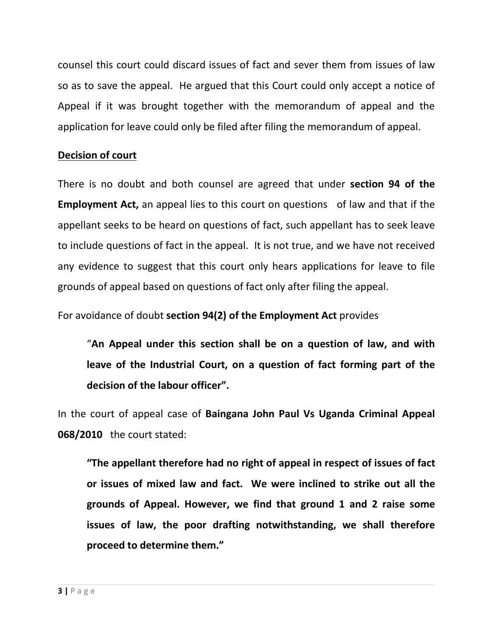counsel this court could discard issues of fact and sever them from issues of law so as to save the appeal. He argued that this Court could only accept a notice of Appeal if it was brought together with the memorandum of appeal and the application for leave could only be filed after filing the memorandum of appeal.

## **Decision of court**

There is no doubt and both counsel are agreed that under **section 94 of the Employment Act,** an appeal lies to this court on questions of law and that if the appellant seeks to be heard on questions of fact, such appellant has to seek leave to include questions of fact in the appeal. It is not true, and we have not received any evidence to suggest that this court only hears applications for leave to file grounds of appeal based on questions of fact only after filing the appeal.

For avoidance of doubt **section 94(2) of the Employment Act** provides

"**An Appeal under this section shall be on a question of law, and with leave of the Industrial Court, on a question of fact forming part of the decision of the labour officer".**

In the court of appeal case of **Baingana John Paul Vs Uganda Criminal Appeal 068/2010** the court stated:

**"The appellant therefore had no right of appeal in respect of issues of fact or issues of mixed law and fact. We were inclined to strike out all the grounds of Appeal. However, we find that ground 1 and 2 raise some issues of law, the poor drafting notwithstanding, we shall therefore proceed to determine them."**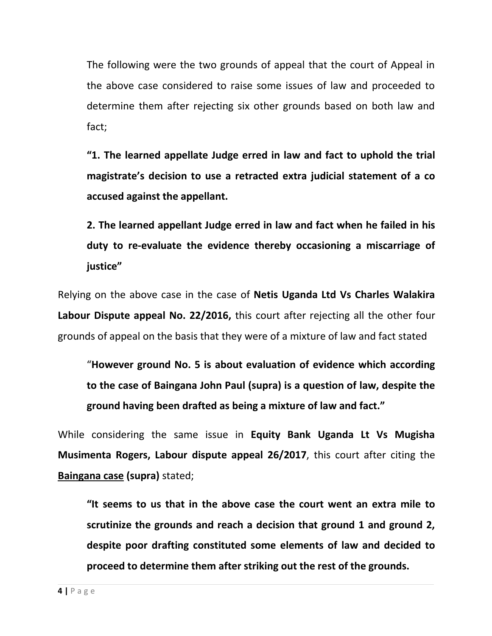The following were the two grounds of appeal that the court of Appeal in the above case considered to raise some issues of law and proceeded to determine them after rejecting six other grounds based on both law and fact;

**"1. The learned appellate Judge erred in law and fact to uphold the trial magistrate's decision to use a retracted extra judicial statement of a co accused against the appellant.**

**2. The learned appellant Judge erred in law and fact when he failed in his duty to re-evaluate the evidence thereby occasioning a miscarriage of justice"**

Relying on the above case in the case of **Netis Uganda Ltd Vs Charles Walakira Labour Dispute appeal No. 22/2016,** this court after rejecting all the other four grounds of appeal on the basis that they were of a mixture of law and fact stated

"**However ground No. 5 is about evaluation of evidence which according to the case of Baingana John Paul (supra) is a question of law, despite the ground having been drafted as being a mixture of law and fact."**

While considering the same issue in **Equity Bank Uganda Lt Vs Mugisha Musimenta Rogers, Labour dispute appeal 26/2017**, this court after citing the **Baingana case (supra)** stated;

**"It seems to us that in the above case the court went an extra mile to scrutinize the grounds and reach adecision that ground 1 and ground 2, despite poor drafting constituted some elements of law and decided to proceed to determine them after striking out the rest of the grounds.**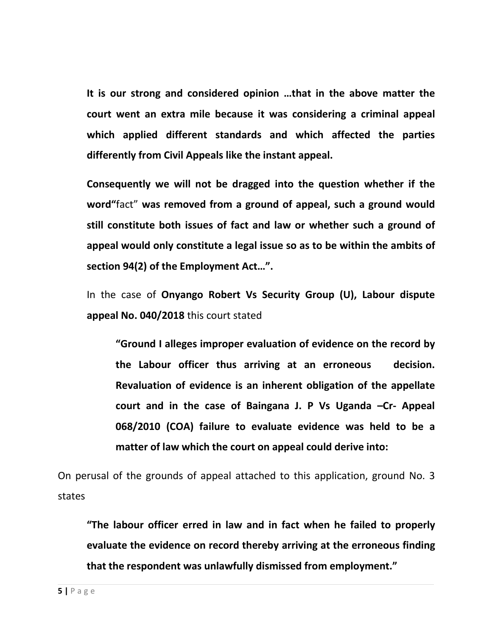**It is our strong and considered opinion …that in the above matter the court went an extra mile because it was considering a criminal appeal which applied different standards and which affected the parties differently from Civil Appeals like the instant appeal.**

**Consequently we will not be dragged into the question whether if the word"**fact" **was removed from a ground of appeal, such aground would still constitute both issues of fact and law or whether such aground of appeal would only constitute a legal issue so as to be within the ambits of section 94(2) of the Employment Act…".**

In the case of **Onyango Robert Vs Security Group (U), Labour dispute appeal No. 040/2018** this court stated

**"Ground I alleges improper evaluation of evidence on the record by the Labour officer thus arriving at an erroneous decision. Revaluation of evidence is an inherent obligation of the appellate court and in the case of Baingana J. P Vs Uganda –Cr- Appeal 068/2010 (COA) failure to evaluate evidence was held to be a matter of law which the court on appeal could derive into:**

On perusal of the grounds of appeal attached to this application, ground No. 3 states

**"The labour officer erred in law and in fact when he failed to properly evaluate the evidence on record thereby arriving at the erroneous finding that the respondent was unlawfully dismissed from employment."**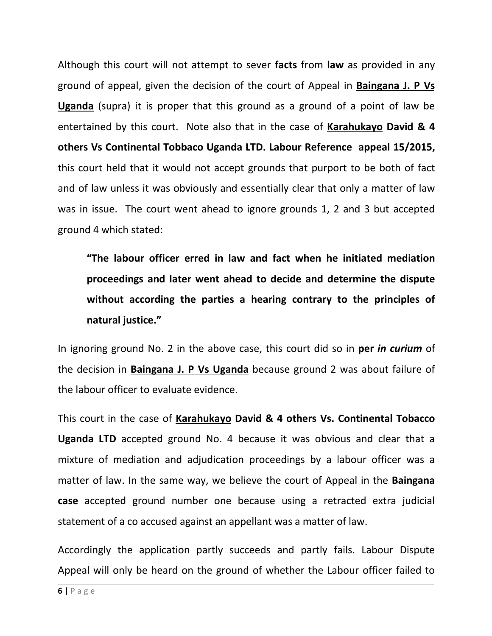Although this court will not attempt to sever **facts** from **law** as provided in any ground of appeal, given the decision of the court ofAppeal in **Baingana J. P Vs Uganda** (supra) it is proper that this ground as a ground of a point of law be entertained by this court. Note also that in the case of **Karahukayo David & 4 others Vs Continental Tobbaco Uganda LTD. Labour Reference appeal 15/2015,** this court held that it would not accept grounds that purport to be both of fact and of law unless it was obviously and essentially clear that only a matter of law was in issue. The court went ahead to ignore grounds 1, 2 and 3 but accepted ground 4 which stated:

**"The labour officer erred in law and fact when he initiated mediation proceedings and later went ahead to decide and determine the dispute without according the parties a hearing contrary to the principles of natural justice."**

In ignoring ground No. 2 in the above case, this court did so in **per** *in curium* of the decision in **Baingana J. P Vs Uganda** because ground 2 was about failure of the labour officer to evaluate evidence.

This court in the case of **Karahukayo David & 4 others Vs. Continental Tobacco Uganda LTD** accepted ground No. 4 because it was obvious and clear that a mixture of mediation and adjudication proceedings by a labour officer was a matter of law. In the same way, we believe the court of Appeal in the **Baingana case** accepted ground number one because using a retracted extra judicial statement of a co accused against an appellant was a matter of law.

Accordingly the application partly succeeds and partly fails. Labour Dispute Appeal will only be heard on the ground of whether the Labour officer failed to